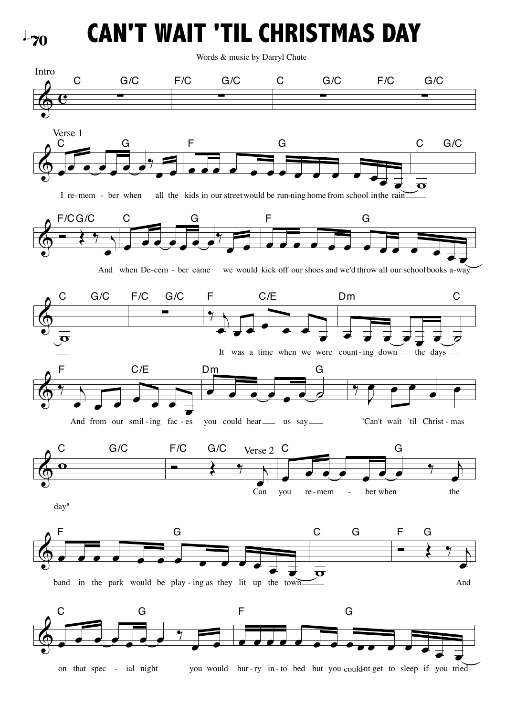$J = 70$ 

**CAN'T WAIT 'TIL CHRISTMAS DAY**

Words & music by Darryl Chute

 $\textcircled{c} \quad \textcircled{c}$ Intro <sup>∑</sup> F/C G/C C G/C<br>———————————————————— <sup>∑</sup> F/C G/C  $\bigcirc$   $\bullet$   $\bullet$   $\bullet$   $\bullet$   $\bullet$   $\bullet$  $\sqrt{\frac{1}{2}}$ I re-mem - ber when C G Verse 1 extract the contract would be run-ning home from school in the rain F G  $\overline{\bullet}$ C G/C  $\phi \rightarrow \gamma$ œ And when De-cem - ber came we would F/CG/C  $\overline{\mathcal{C}}$  $\sqrt{\overline{\overline{}}\cdot}$ C G <sup>œ</sup> <sup>œ</sup> <sup>œ</sup> <sup>œ</sup> <sup>œ</sup> <sup>œ</sup> <sup>œ</sup> <sup>œ</sup> <sup>œ</sup> <sup>œ</sup> <sup>œ</sup> <sup>œ</sup> <sup>œ</sup> -cem - ber came we would kick off our shoes and we'd throw all our schoolbooks a-way F G  $\Phi$  $\overline{\mathbf{p}}$ C G/C F/C G/C<br>————————————————————  $^{\frac{9}{1}}$  $\frac{1}{\sqrt{1-\frac{1}{\sqrt{1-\frac{1}{\sqrt{1-\frac{1}{\sqrt{1-\frac{1}{\sqrt{1-\frac{1}{\sqrt{1-\frac{1}{\sqrt{1-\frac{1}{\sqrt{1-\frac{1}{\sqrt{1-\frac{1}{\sqrt{1-\frac{1}{\sqrt{1-\frac{1}{\sqrt{1-\frac{1}{\sqrt{1-\frac{1}{\sqrt{1-\frac{1}{\sqrt{1-\frac{1}{\sqrt{1-\frac{1}{\sqrt{1-\frac{1}{\sqrt{1-\frac{1}{\sqrt{1-\frac{1}{\sqrt{1-\frac{1}{\sqrt{1-\frac{1}{\sqrt{1-\frac{1}{\sqrt{1-\frac{1}{\sqrt{1-\frac{1$ œ It was a time when we were count-ing down the days F C/E  $\overrightarrow{e}$   $\overrightarrow{e}$   $\overrightarrow{e}$   $\overrightarrow{e}$   $\overrightarrow{e}$   $\overrightarrow{e}$   $\overrightarrow{e}$   $\overrightarrow{e}$   $\overrightarrow{e}$   $\overrightarrow{e}$   $\overrightarrow{e}$   $\overrightarrow{e}$   $\overrightarrow{e}$   $\overrightarrow{e}$   $\overrightarrow{e}$   $\overrightarrow{e}$   $\overrightarrow{e}$   $\overrightarrow{e}$   $\overrightarrow{e}$   $\overrightarrow{e}$   $\overrightarrow{e}$   $\overrightarrow{e}$   $\overrightarrow{e}$   $\overrightarrow{e}$   $\overrightarrow{$ Dm C  $\left\langle \!\!{\,}^{\,}{}_{\,}^{\,}{}\,\right\rangle$  $\frac{1}{e}$   $\frac{1}{e}$   $\frac{1}{e}$   $\frac{1}{e}$  $\overrightarrow{e}$   $\overrightarrow{e}$   $\overrightarrow{e}$   $\overrightarrow{e}$   $\overrightarrow{e}$   $\overrightarrow{e}$   $\overrightarrow{e}$   $\overrightarrow{e}$   $\overrightarrow{e}$   $\overrightarrow{e}$   $\overrightarrow{e}$   $\overrightarrow{e}$   $\overrightarrow{e}$   $\overrightarrow{e}$   $\overrightarrow{e}$   $\overrightarrow{e}$   $\overrightarrow{e}$   $\overrightarrow{e}$   $\overrightarrow{e}$   $\overrightarrow{e}$   $\overrightarrow{e}$   $\overrightarrow{e}$   $\overrightarrow{e}$   $\overrightarrow{e}$   $\overrightarrow{$ F C/E  $\bullet$   $\bullet$   $\bullet$   $\bullet$   $\bullet$   $\bullet$ you could hear us say - - "Can't wait 'til Christ - mas Dm G  $\frac{9}{2}$  $\mathbf{e}$  $\overline{\cdot}$  $\phi$   $^{\circ}$ day" C G/C  $\longleftrightarrow$   $\rightarrow$ œ Can F/C G/C Verse 2 C  $\begin{array}{cc} \bullet & \bullet & \bullet & \bullet & \bullet & \bullet \end{array}$ œ you re-mem - ber when the C G re-mem band in the park would be play - ing as they lit up the town F G  $\overline{\mathbf{o}}$ C G  $\leftarrow$   $\leftarrow$   $\leftarrow$ œ And F G  $\bigcirc$   $\bullet$   $\bullet$   $\bullet$   $\bullet$   $\bullet$   $\bullet$   $\bullet$  $\overline{\cdot}$ on that spec - ial night C G <sup>œ</sup> <sup>œ</sup> <sup>œ</sup> <sup>œ</sup> <sup>œ</sup> <sup>œ</sup> <sup>œ</sup> <sup>œ</sup> <sup>œ</sup> <sup>œ</sup> <sup>œ</sup> <sup>œ</sup> <sup>œ</sup> <sup>œ</sup> <sup>œ</sup> - ial night you would hur-ry in-to bed but you could-nt get to sleep if you tried F G